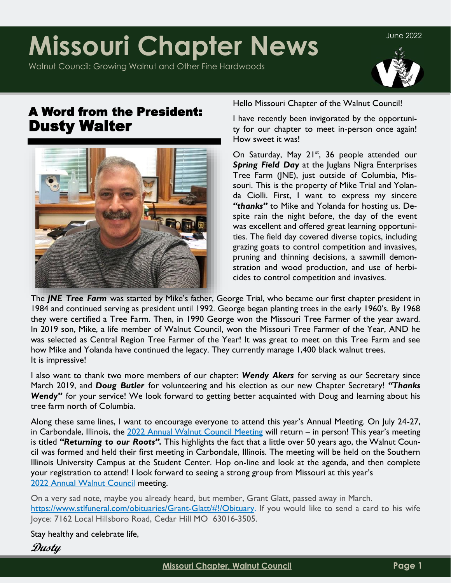# **Missouri Chapter News**

Walnut Council: Growing Walnut and Other Fine Hardwoods



June 2022

# A Word from the President: Dusty Walter



Hello Missouri Chapter of the Walnut Council!

I have recently been invigorated by the opportunity for our chapter to meet in-person once again! How sweet it was!

On Saturday, May 21<sup>st</sup>, 36 people attended our *Spring Field Day* at the Juglans Nigra Enterprises Tree Farm (JNE), just outside of Columbia, Missouri. This is the property of Mike Trial and Yolanda Ciolli. First, I want to express my sincere *"thanks"* to Mike and Yolanda for hosting us. Despite rain the night before, the day of the event was excellent and offered great learning opportunities. The field day covered diverse topics, including grazing goats to control competition and invasives, pruning and thinning decisions, a sawmill demonstration and wood production, and use of herbicides to control competition and invasives.

The *JNE Tree Farm* was started by Mike's father, George Trial, who became our first chapter president in 1984 and continued serving as president until 1992. George began planting trees in the early 1960's. By 1968 they were certified a Tree Farm. Then, in 1990 George won the Missouri Tree Farmer of the year award. In 2019 son, Mike, a life member of Walnut Council, won the Missouri Tree Farmer of the Year, AND he was selected as Central Region Tree Farmer of the Year! It was great to meet on this Tree Farm and see how Mike and Yolanda have continued the legacy. They currently manage 1,400 black walnut trees. It is impressive!

I also want to thank two more members of our chapter: *Wendy Akers* for serving as our Secretary since March 2019, and *Doug Butler* for volunteering and his election as our new Chapter Secretary! *"Thanks*  Wendy" for your service! We look forward to getting better acquainted with Doug and learning about his tree farm north of Columbia.

Along these same lines, I want to encourage everyone to attend this year's Annual Meeting. On July 24-27, in Carbondale, Illinois, the [2022 Annual Walnut Council Meeting](https://walnutcouncil.org/events/annual-meeting/) will return – in person! This year's meeting is titled *"Returning to our Roots".* This highlights the fact that a little over 50 years ago, the Walnut Council was formed and held their first meeting in Carbondale, Illinois. The meeting will be held on the Southern Illinois University Campus at the Student Center. Hop on-line and look at the agenda, and then complete your registration to attend! I look forward to seeing a strong group from Missouri at this year's [2022 Annual Walnut Council](https://walnutcouncil.org/events/annual-meeting/) meeting.

On a very sad note, maybe you already heard, but member, Grant Glatt, passed away in March. [https://www.stlfuneral.com/obituaries/Grant-Glatt/#!/Obituary.](https://www.stlfuneral.com/obituaries/Grant-Glatt/#!/ObituaryI) If you would like to send a card to his wife Joyce: 7162 Local Hillsboro Road, Cedar Hill MO 63016-3505.

Stay healthy and celebrate life,

**Dusty**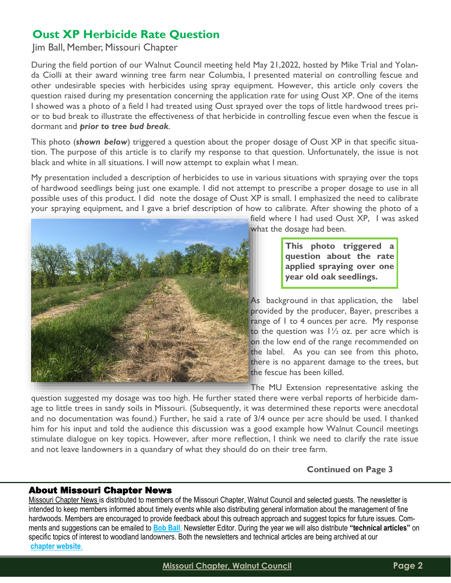# **Oust XP Herbicide Rate Question**

Jim Ball, Member, Missouri Chapter

During the field portion of our Walnut Council meeting held May 21,2022, hosted by Mike Trial and Yolanda Ciolli at their award winning tree farm near Columbia, I presented material on controlling fescue and other undesirable species with herbicides using spray equipment. However, this article only covers the question raised during my presentation concerning the application rate for using Oust XP. One of the items I showed was a photo of a field I had treated using Oust sprayed over the tops of little hardwood trees prior to bud break to illustrate the effectiveness of that herbicide in controlling fescue even when the fescue is dormant and *prior to tree bud break*.

This photo (*shown below*) triggered a question about the proper dosage of Oust XP in that specific situation. The purpose of this article is to clarify my response to that question. Unfortunately, the issue is not black and white in all situations. I will now attempt to explain what I mean.

My presentation included a description of herbicides to use in various situations with spraying over the tops of hardwood seedlings being just one example. I did not attempt to prescribe a proper dosage to use in all possible uses of this product. I did note the dosage of Oust XP is small. I emphasized the need to calibrate your spraying equipment, and I gave a brief description of how to calibrate. After showing the photo of a



field where I had used Oust XP, I was asked what the dosage had been.

> **This photo triggered a question about the rate applied spraying over one year old oak seedlings.**

As background in that application, the label provided by the producer, Bayer, prescribes a range of 1 to 4 ounces per acre. My response to the question was  $1\frac{1}{2}$  oz. per acre which is on the low end of the range recommended on the label. As you can see from this photo, there is no apparent damage to the trees, but the fescue has been killed.

The MU Extension representative asking the

question suggested my dosage was too high. He further stated there were verbal reports of herbicide damage to little trees in sandy soils in Missouri. (Subsequently, it was determined these reports were anecdotal and no documentation was found.) Further, he said a rate of 3/4 ounce per acre should be used. I thanked him for his input and told the audience this discussion was a good example how Walnut Council meetings stimulate dialogue on key topics. However, after more reflection, I think we need to clarify the rate issue and not leave landowners in a quandary of what they should do on their tree farm.

**Continued on Page 3**

### About Missouri Chapter News

Missouri Chapter News is distributed to members of the Missouri Chapter, Walnut Council and selected guests. The newsletter is intended to keep members informed about timely events while also distributing general information about the management of fine hardwoods. Members are encouraged to provide feedback about this outreach approach and suggest topics for future issues. Comments and suggestions can be emailed to **[Bob Ball](file:///C:/Users/New/Documents/Outlook Files)**, Newsletter Editor. During the year we will also distribute **"technical articles"** on specific topics of interest to woodland landowners. Both the newsletters and technical articles are being archived at our **[chapter website](http://www.walnutcouncil.org/state-chapters/missouri.html)**.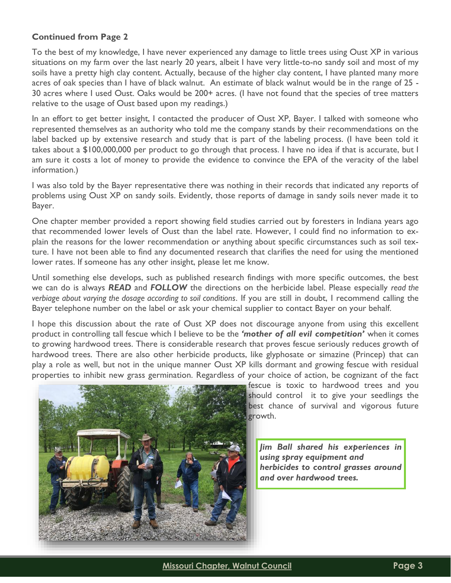### **Continued from Page 2**

To the best of my knowledge, I have never experienced any damage to little trees using Oust XP in various situations on my farm over the last nearly 20 years, albeit I have very little-to-no sandy soil and most of my soils have a pretty high clay content. Actually, because of the higher clay content, I have planted many more acres of oak species than I have of black walnut. An estimate of black walnut would be in the range of 25 - 30 acres where I used Oust. Oaks would be 200+ acres. (I have not found that the species of tree matters relative to the usage of Oust based upon my readings.)

In an effort to get better insight, I contacted the producer of Oust XP, Bayer. I talked with someone who represented themselves as an authority who told me the company stands by their recommendations on the label backed up by extensive research and study that is part of the labeling process. (I have been told it takes about a \$100,000,000 per product to go through that process. I have no idea if that is accurate, but I am sure it costs a lot of money to provide the evidence to convince the EPA of the veracity of the label information.)

I was also told by the Bayer representative there was nothing in their records that indicated any reports of problems using Oust XP on sandy soils. Evidently, those reports of damage in sandy soils never made it to Bayer.

One chapter member provided a report showing field studies carried out by foresters in Indiana years ago that recommended lower levels of Oust than the label rate. However, I could find no information to explain the reasons for the lower recommendation or anything about specific circumstances such as soil texture. I have not been able to find any documented research that clarifies the need for using the mentioned lower rates. If someone has any other insight, please let me know.

Until something else develops, such as published research findings with more specific outcomes, the best we can do is always *READ* and *FOLLOW* the directions on the herbicide label. Please especially *read the verbiage about varying the dosage according to soil conditions*. If you are still in doubt, I recommend calling the Bayer telephone number on the label or ask your chemical supplier to contact Bayer on your behalf.

I hope this discussion about the rate of Oust XP does not discourage anyone from using this excellent product in controlling tall fescue which I believe to be the *'mother of all evil competition'* when it comes to growing hardwood trees. There is considerable research that proves fescue seriously reduces growth of hardwood trees. There are also other herbicide products, like glyphosate or simazine (Princep) that can play a role as well, but not in the unique manner Oust XP kills dormant and growing fescue with residual properties to inhibit new grass germination. Regardless of your choice of action, be cognizant of the fact



fescue is toxic to hardwood trees and you should control it to give your seedlings the best chance of survival and vigorous future growth.

*Jim Ball shared his experiences in using spray equipment and herbicides to control grasses around and over hardwood trees.*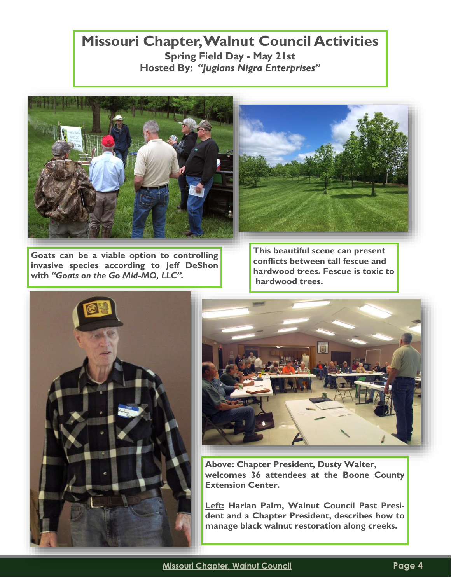# **Missouri Chapter, Walnut Council Activities Spring Field Day - May 21st Hosted By:** *"Juglans Nigra Enterprises"*





**Goats can be a viable option to controlling invasive species according to Jeff DeShon with** *"Goats on the Go Mid-MO, LLC".*

**This beautiful scene can present conflicts between tall fescue and hardwood trees. Fescue is toxic to hardwood trees.**





**Above: Chapter President, Dusty Walter, welcomes 36 attendees at the Boone County Extension Center.**

**Left: Harlan Palm, Walnut Council Past President and a Chapter President, describes how to manage black walnut restoration along creeks.**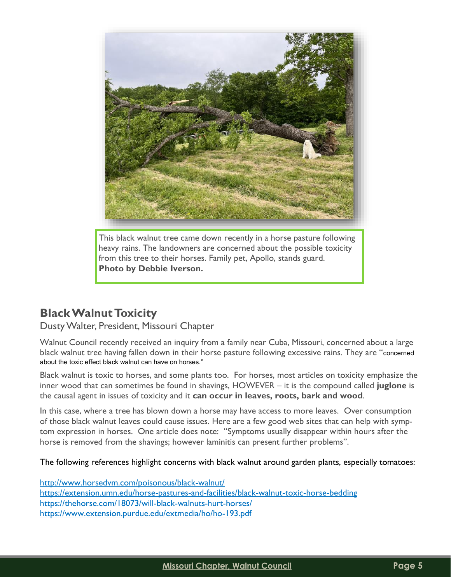

This black walnut tree came down recently in a horse pasture following heavy rains. The landowners are concerned about the possible toxicity from this tree to their horses. Family pet, Apollo, stands guard. **Photo by Debbie Iverson.**

### **Black Walnut Toxicity**

### Dusty Walter, President, Missouri Chapter

Walnut Council recently received an inquiry from a family near Cuba, Missouri, concerned about a large black walnut tree having fallen down in their horse pasture following excessive rains. They are "concerned about the toxic effect black walnut can have on horses."

Black walnut is toxic to horses, and some plants too. For horses, most articles on toxicity emphasize the inner wood that can sometimes be found in shavings, HOWEVER – it is the compound called **juglone** is the causal agent in issues of toxicity and it **can occur in leaves, roots, bark and wood**.

In this case, where a tree has blown down a horse may have access to more leaves. Over consumption of those black walnut leaves could cause issues. Here are a few good web sites that can help with symptom expression in horses. One article does note: "Symptoms usually disappear within hours after the horse is removed from the shavings; however laminitis can present further problems".

### The following references highlight concerns with black walnut around garden plants, especially tomatoes:

[http://www.horsedvm.com/poisonous/black-walnut/](https://nam12.safelinks.protection.outlook.com/?url=http%3A%2F%2Fwww.horsedvm.com%2Fpoisonous%2Fblack-walnut%2F&data=05%7C01%7C%7C40ad15f8eaaa4739092108da4ae4e558%7C84df9e7fe9f640afb435aaaaaaaaaaaa%7C1%7C0%7C637904645026505076%7CUnknown%7CTWFpbGZsb3d8eyJWIjoi) [https://extension.umn.edu/horse-pastures-and-facilities/black-walnut-toxic-horse-bedding](https://nam12.safelinks.protection.outlook.com/?url=https%3A%2F%2Fextension.umn.edu%2Fhorse-pastures-and-facilities%2Fblack-walnut-toxic-horse-bedding&data=05%7C01%7C%7C40ad15f8eaaa4739092108da4ae4e558%7C84df9e7fe9f640afb435aaaaaaaaaaaa%7C1%7C0%7C637904645026) [https://thehorse.com/18073/will-black-walnuts-hurt-horses/](https://nam12.safelinks.protection.outlook.com/?url=https%3A%2F%2Fthehorse.com%2F18073%2Fwill-black-walnuts-hurt-horses%2F&data=05%7C01%7C%7C40ad15f8eaaa4739092108da4ae4e558%7C84df9e7fe9f640afb435aaaaaaaaaaaa%7C1%7C0%7C637904645026661290%7CUnknown%7CTWFpbGZsb) <https://www.extension.purdue.edu/extmedia/ho/ho-193.pdf>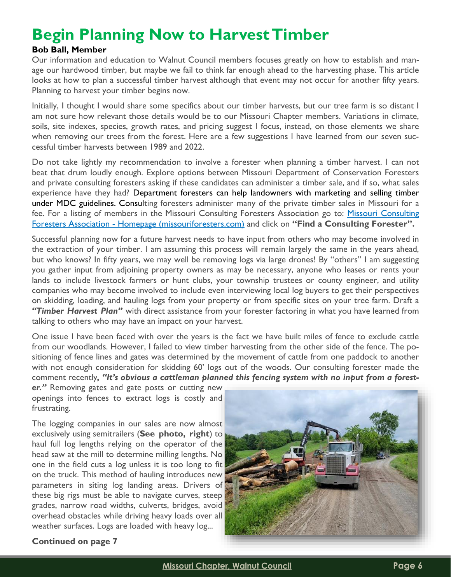# **Begin Planning Now to Harvest Timber**

### **Bob Ball, Member**

Our information and education to Walnut Council members focuses greatly on how to establish and manage our hardwood timber, but maybe we fail to think far enough ahead to the harvesting phase. This article looks at how to plan a successful timber harvest although that event may not occur for another fifty years. Planning to harvest your timber begins now.

Initially, I thought I would share some specifics about our timber harvests, but our tree farm is so distant I am not sure how relevant those details would be to our Missouri Chapter members. Variations in climate, soils, site indexes, species, growth rates, and pricing suggest I focus, instead, on those elements we share when removing our trees from the forest. Here are a few suggestions I have learned from our seven successful timber harvests between 1989 and 2022.

Do not take lightly my recommendation to involve a forester when planning a timber harvest. I can not beat that drum loudly enough. Explore options between Missouri Department of Conservation Foresters and private consulting foresters asking if these candidates can administer a timber sale, and if so, what sales experience have they had? Department foresters can help landowners with marketing and selling timber under MDC guidelines. Consulting foresters administer many of the private timber sales in Missouri for a fee. For a listing of members in the [Missouri Consulting](https://missouriforesters.com/) Foresters Association go to: Missouri Consulting Foresters Association - [Homepage \(missouriforesters.com\)](https://missouriforesters.com/) and click on **"Find a Consulting Forester".**

Successful planning now for a future harvest needs to have input from others who may become involved in the extraction of your timber. I am assuming this process will remain largely the same in the years ahead, but who knows? In fifty years, we may well be removing logs via large drones! By "others" I am suggesting you gather input from adjoining property owners as may be necessary, anyone who leases or rents your lands to include livestock farmers or hunt clubs, your township trustees or county engineer, and utility companies who may become involved to include even interviewing local log buyers to get their perspectives on skidding, loading, and hauling logs from your property or from specific sites on your tree farm. Draft a *"Timber Harvest Plan"* with direct assistance from your forester factoring in what you have learned from talking to others who may have an impact on your harvest.

One issue I have been faced with over the years is the fact we have built miles of fence to exclude cattle from our woodlands. However, I failed to view timber harvesting from the other side of the fence. The positioning of fence lines and gates was determined by the movement of cattle from one paddock to another with not enough consideration for skidding 60' logs out of the woods. Our consulting forester made the comment recently*, "It's obvious a cattleman planned this fencing system with no input from a forest-*

*er."* Removing gates and gate posts or cutting new openings into fences to extract logs is costly and frustrating.

The logging companies in our sales are now almost exclusively using semitrailers (**See photo, right**) to haul full log lengths relying on the operator of the head saw at the mill to determine milling lengths. No one in the field cuts a log unless it is too long to fit on the truck. This method of hauling introduces new parameters in siting log landing areas. Drivers of these big rigs must be able to navigate curves, steep grades, narrow road widths, culverts, bridges, avoid overhead obstacles while driving heavy loads over all weather surfaces. Logs are loaded with heavy log...



### **Continued on page 7**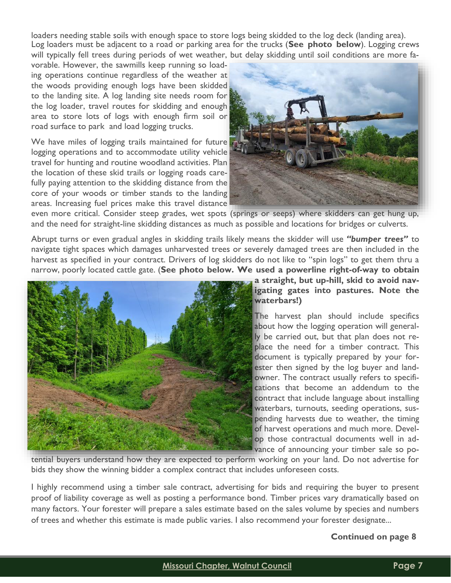loaders needing stable soils with enough space to store logs being skidded to the log deck (landing area). Log loaders must be adjacent to a road or parking area for the trucks (**See photo below**). Logging crews will typically fell trees during periods of wet weather, but delay skidding until soil conditions are more fa-

vorable. However, the sawmills keep running so loading operations continue regardless of the weather at the woods providing enough logs have been skidded to the landing site. A log landing site needs room for the log loader, travel routes for skidding and enough area to store lots of logs with enough firm soil or road surface to park and load logging trucks.

We have miles of logging trails maintained for future logging operations and to accommodate utility vehicle travel for hunting and routine woodland activities. Plan the location of these skid trails or logging roads carefully paying attention to the skidding distance from the core of your woods or timber stands to the landing areas. Increasing fuel prices make this travel distance



even more critical. Consider steep grades, wet spots (springs or seeps) where skidders can get hung up, and the need for straight-line skidding distances as much as possible and locations for bridges or culverts.

Abrupt turns or even gradual angles in skidding trails likely means the skidder will use *"bumper trees"* to navigate tight spaces which damages unharvested trees or severely damaged trees are then included in the harvest as specified in your contract. Drivers of log skidders do not like to "spin logs" to get them thru a narrow, poorly located cattle gate. (**See photo below. We used a powerline right-of-way to obtain** 



### **a straight, but up-hill, skid to avoid navigating gates into pastures. Note the waterbars!)**

The harvest plan should include specifics about how the logging operation will generally be carried out, but that plan does not replace the need for a timber contract. This document is typically prepared by your forester then signed by the log buyer and landowner. The contract usually refers to specifications that become an addendum to the contract that include language about installing waterbars, turnouts, seeding operations, suspending harvests due to weather, the timing of harvest operations and much more. Develop those contractual documents well in advance of announcing your timber sale so po-

tential buyers understand how they are expected to perform working on your land. Do not advertise for bids they show the winning bidder a complex contract that includes unforeseen costs.

I highly recommend using a timber sale contract, advertising for bids and requiring the buyer to present proof of liability coverage as well as posting a performance bond. Timber prices vary dramatically based on many factors. Your forester will prepare a sales estimate based on the sales volume by species and numbers of trees and whether this estimate is made public varies. I also recommend your forester designate...

### **Continued on page 8**